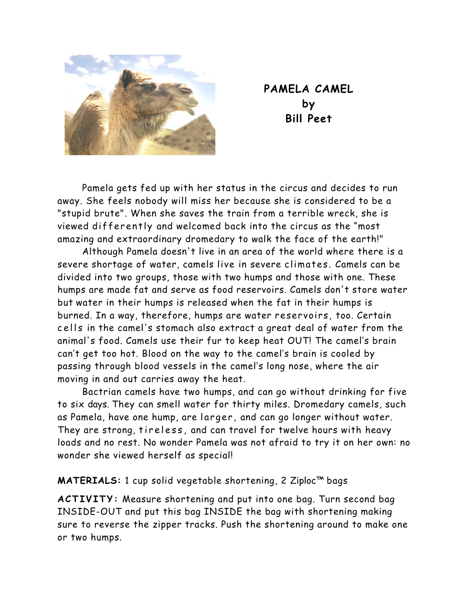

**PAMELA CAMEL by Bill Peet** 

 Pamela gets fed up with her status in the circus and decides to run away. She feels nobody will miss her because she is considered to be a "stupid brute". When she saves the train from a terrible wreck, she is viewed differently and welcomed back into the circus as the "most amazing and extraordinary dromedary to walk the face of the earth!"

 Although Pamela doesn't live in an area of the world where there is a severe shortage of water, camels live in severe climates. Camels can be divided into two groups, those with two humps and those with one. These humps are made fat and serve as food reservoirs. Camels don't store water but water in their humps is released when the fat in their humps is burned. In a way, therefore, humps are water reservoirs, too. Certain cells in the camel's stomach also extract a great deal of water from the animal's food. Camels use their fur to keep heat OUT! The camel's brain can't get too hot. Blood on the way to the camel's brain is cooled by passing through blood vessels in the camel's long nose, where the air moving in and out carries away the heat.

 Bactrian camels have two humps, and can go without drinking for five to six days. They can smell water for thirty miles. Dromedary camels, such as Pamela, have one hump, are larger , and can go longer without water. They are strong, tireless, and can travel for twelve hours with heavy loads and no rest. No wonder Pamela was not afraid to try it on her own: no wonder she viewed herself as special!

**MATERIALS:** 1 cup solid vegetable shortening, 2 Ziploc™ bags

**ACTIVITY:** Measure shortening and put into one bag. Turn second bag INSIDE-OUT and put this bag INSIDE the bag with shortening making sure to reverse the zipper tracks. Push the shortening around to make one or two humps.